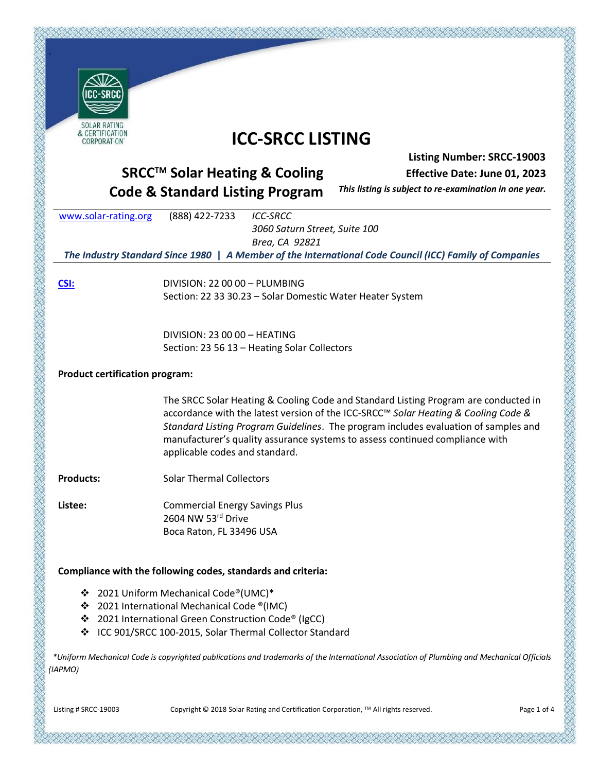| SOLAR RATING<br>& CERTIFICATION                                                                                                     | <b>ICC-SRCC LISTING</b>                                                                                                                                                   |  |  |
|-------------------------------------------------------------------------------------------------------------------------------------|---------------------------------------------------------------------------------------------------------------------------------------------------------------------------|--|--|
| CORPORATION                                                                                                                         |                                                                                                                                                                           |  |  |
| <b>Listing Number: SRCC-19003</b>                                                                                                   |                                                                                                                                                                           |  |  |
| <b>SRCC™ Solar Heating &amp; Cooling</b><br>Effective Date: June 01, 2023<br>This listing is subject to re-examination in one year. |                                                                                                                                                                           |  |  |
| <b>Code &amp; Standard Listing Program</b>                                                                                          |                                                                                                                                                                           |  |  |
| www.solar-rating.org                                                                                                                | <b>ICC-SRCC</b><br>(888) 422-7233<br>3060 Saturn Street, Suite 100                                                                                                        |  |  |
|                                                                                                                                     | Brea, CA 92821                                                                                                                                                            |  |  |
| The Industry Standard Since 1980   A Member of the International Code Council (ICC) Family of Companies                             |                                                                                                                                                                           |  |  |
| CSI:                                                                                                                                | DIVISION: 22 00 00 - PLUMBING                                                                                                                                             |  |  |
|                                                                                                                                     | Section: 22 33 30.23 - Solar Domestic Water Heater System                                                                                                                 |  |  |
|                                                                                                                                     |                                                                                                                                                                           |  |  |
|                                                                                                                                     | DIVISION: 23 00 00 - HEATING                                                                                                                                              |  |  |
|                                                                                                                                     | Section: 23 56 13 - Heating Solar Collectors                                                                                                                              |  |  |
| <b>Product certification program:</b>                                                                                               |                                                                                                                                                                           |  |  |
|                                                                                                                                     |                                                                                                                                                                           |  |  |
|                                                                                                                                     | The SRCC Solar Heating & Cooling Code and Standard Listing Program are conducted in                                                                                       |  |  |
|                                                                                                                                     | accordance with the latest version of the ICC-SRCC™ Solar Heating & Cooling Code &<br>Standard Listing Program Guidelines. The program includes evaluation of samples and |  |  |
|                                                                                                                                     | manufacturer's quality assurance systems to assess continued compliance with                                                                                              |  |  |
|                                                                                                                                     | applicable codes and standard.                                                                                                                                            |  |  |
|                                                                                                                                     |                                                                                                                                                                           |  |  |
| <b>Products:</b>                                                                                                                    | <b>Solar Thermal Collectors</b>                                                                                                                                           |  |  |
| Listee:                                                                                                                             | <b>Commercial Energy Savings Plus</b>                                                                                                                                     |  |  |
|                                                                                                                                     | 2604 NW 53rd Drive                                                                                                                                                        |  |  |
|                                                                                                                                     | Boca Raton, FL 33496 USA                                                                                                                                                  |  |  |
|                                                                                                                                     |                                                                                                                                                                           |  |  |
|                                                                                                                                     | Compliance with the following codes, standards and criteria:                                                                                                              |  |  |
| ❖                                                                                                                                   | 2021 Uniform Mechanical Code®(UMC)*                                                                                                                                       |  |  |
| 2021 International Mechanical Code ®(IMC)<br>❖                                                                                      |                                                                                                                                                                           |  |  |
| 2021 International Green Construction Code® (IgCC)<br>❖                                                                             |                                                                                                                                                                           |  |  |
| ❖                                                                                                                                   | ICC 901/SRCC 100-2015, Solar Thermal Collector Standard                                                                                                                   |  |  |
| (IAPMO)                                                                                                                             | *Uniform Mechanical Code is copyrighted publications and trademarks of the International Association of Plumbing and Mechanical Officials                                 |  |  |

などのことになることになることです。このことには、このことでは、このことでは、このことでは、このことであることであることです。このことでは、このことでは、このことでは、このことではない

Listing # SRCC-19003 Copyright © 2018 Solar Rating and Certification Corporation, ™ All rights reserved. Page 1 of 4

KARA KATALANA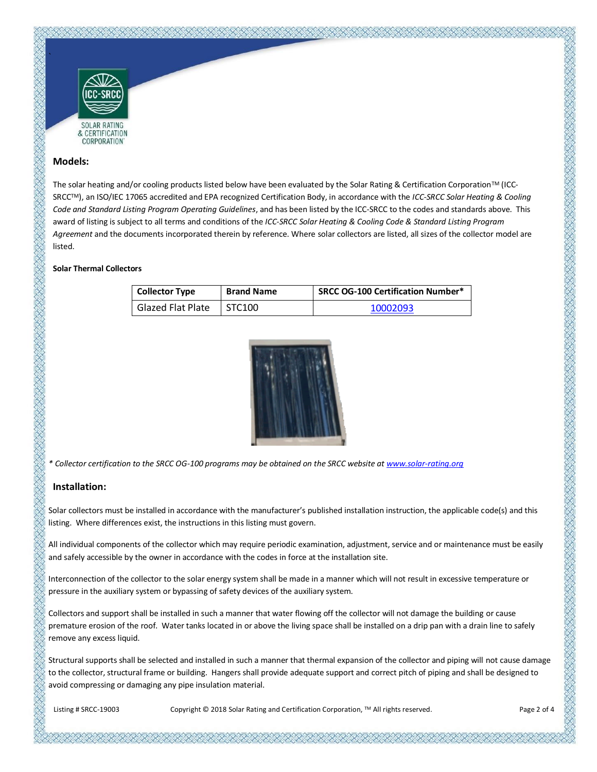

#### **Models:**

The solar heating and/or cooling products listed below have been evaluated by the Solar Rating & Certification Corporation™ (ICC-SRCCTM), an ISO/IEC 17065 accredited and EPA recognized Certification Body, in accordance with the *ICC-SRCC Solar Heating & Cooling Code and Standard Listing Program Operating Guidelines*, and has been listed by the ICC-SRCC to the codes and standards above. This award of listing is subject to all terms and conditions of the *ICC-SRCC Solar Heating & Cooling Code & Standard Listing Program Agreement* and the documents incorporated therein by reference. Where solar collectors are listed, all sizes of the collector model are listed.

#### **Solar Thermal Collectors**

| <b>Collector Type</b> | <b>Brand Name</b> | <b>SRCC OG-100 Certification Number*</b> |
|-----------------------|-------------------|------------------------------------------|
| Glazed Flat Plate     | STC100            | 10002093                                 |



*\* Collector certification to the SRCC OG-100 programs may be obtained on the SRCC website a[t www.solar-rating.org](http://www.solar-rating.org/)*

# **Installation:**

Solar collectors must be installed in accordance with the manufacturer's published installation instruction, the applicable code(s) and this listing. Where differences exist, the instructions in this listing must govern.

All individual components of the collector which may require periodic examination, adjustment, service and or maintenance must be easily and safely accessible by the owner in accordance with the codes in force at the installation site.

Interconnection of the collector to the solar energy system shall be made in a manner which will not result in excessive temperature or pressure in the auxiliary system or bypassing of safety devices of the auxiliary system.

Collectors and support shall be installed in such a manner that water flowing off the collector will not damage the building or cause premature erosion of the roof. Water tanks located in or above the living space shall be installed on a drip pan with a drain line to safely remove any excess liquid.

Structural supports shall be selected and installed in such a manner that thermal expansion of the collector and piping will not cause damage to the collector, structural frame or building. Hangers shall provide adequate support and correct pitch of piping and shall be designed to avoid compressing or damaging any pipe insulation material.

Listing # SRCC-19003 Copyright © 2018 Solar Rating and Certification Corporation, TM All rights reserved. Page 2 of 4

あかだかだだだがたいだいがたいがたいだいがたいだいがたいだいがたいだいがく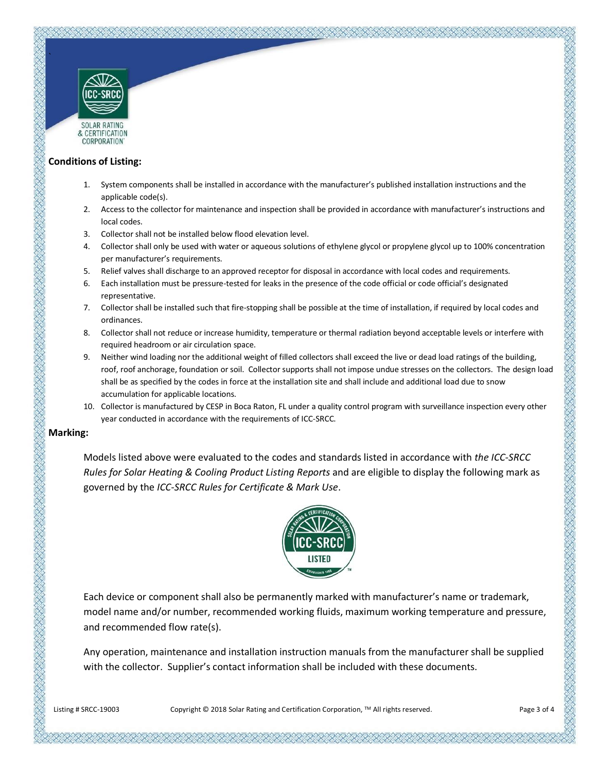

& CERTIFICATION **CORPORATION** 

## **Conditions of Listing:**

- 1. System components shall be installed in accordance with the manufacturer's published installation instructions and the applicable code(s).
- 2. Access to the collector for maintenance and inspection shall be provided in accordance with manufacturer's instructions and local codes.
- 3. Collector shall not be installed below flood elevation level.
- 4. Collector shall only be used with water or aqueous solutions of ethylene glycol or propylene glycol up to 100% concentration per manufacturer's requirements.
- 5. Relief valves shall discharge to an approved receptor for disposal in accordance with local codes and requirements.
- 6. Each installation must be pressure-tested for leaks in the presence of the code official or code official's designated representative.
- 7. Collector shall be installed such that fire-stopping shall be possible at the time of installation, if required by local codes and ordinances.
- 8. Collector shall not reduce or increase humidity, temperature or thermal radiation beyond acceptable levels or interfere with required headroom or air circulation space.
- 9. Neither wind loading nor the additional weight of filled collectors shall exceed the live or dead load ratings of the building, roof, roof anchorage, foundation or soil. Collector supports shall not impose undue stresses on the collectors. The design load shall be as specified by the codes in force at the installation site and shall include and additional load due to snow accumulation for applicable locations.
- 10. Collector is manufactured by CESP in Boca Raton, FL under a quality control program with surveillance inspection every other year conducted in accordance with the requirements of ICC-SRCC.

### **Marking:**

Models listed above were evaluated to the codes and standards listed in accordance with *the ICC-SRCC Rules for Solar Heating & Cooling Product Listing Reports* and are eligible to display the following mark as governed by the *ICC-SRCC Rules for Certificate & Mark Use*.



Each device or component shall also be permanently marked with manufacturer's name or trademark, model name and/or number, recommended working fluids, maximum working temperature and pressure, and recommended flow rate(s).

Any operation, maintenance and installation instruction manuals from the manufacturer shall be supplied with the collector. Supplier's contact information shall be included with these documents.

Listing # SRCC-19003 Copyright © 2018 Solar Rating and Certification Corporation, TM All rights reserved. Page 3 of 4

ほぼかいかいだいがたかいがたいたいかいかいだいがたいだいがく かわだいがく